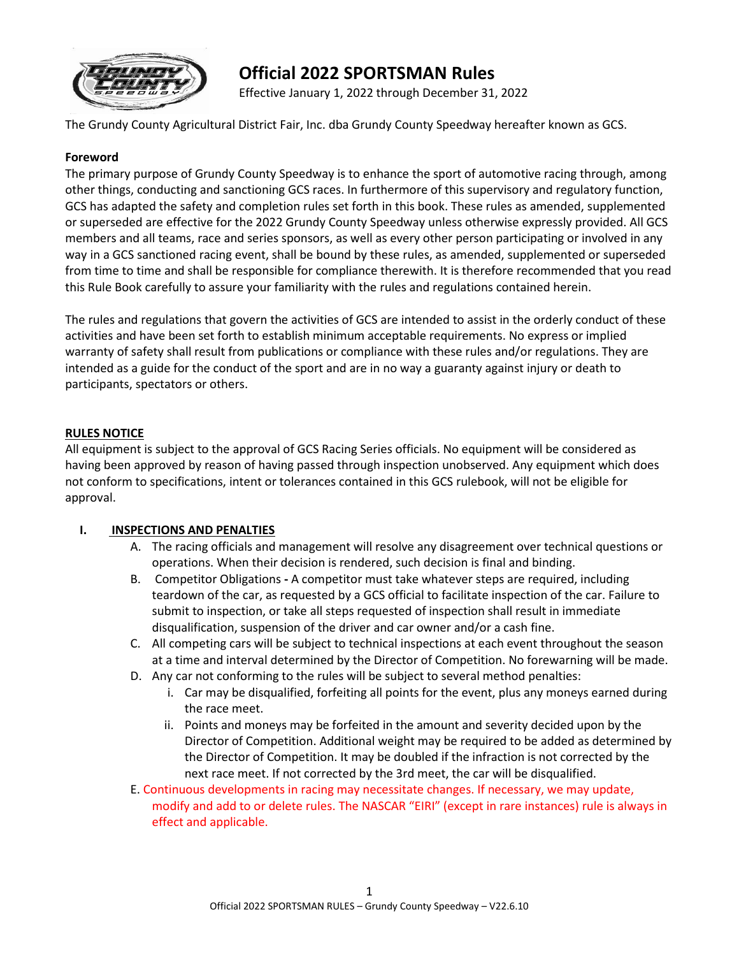

# **Official 2022 SPORTSMAN Rules**

Effective January 1, 2022 through December 31, 2022

The Grundy County Agricultural District Fair, Inc. dba Grundy County Speedway hereafter known as GCS.

#### **Foreword**

The primary purpose of Grundy County Speedway is to enhance the sport of automotive racing through, among other things, conducting and sanctioning GCS races. In furthermore of this supervisory and regulatory function, GCS has adapted the safety and completion rules set forth in this book. These rules as amended, supplemented or superseded are effective for the 2022 Grundy County Speedway unless otherwise expressly provided. All GCS members and all teams, race and series sponsors, as well as every other person participating or involved in any way in a GCS sanctioned racing event, shall be bound by these rules, as amended, supplemented or superseded from time to time and shall be responsible for compliance therewith. It is therefore recommended that you read this Rule Book carefully to assure your familiarity with the rules and regulations contained herein.

The rules and regulations that govern the activities of GCS are intended to assist in the orderly conduct of these activities and have been set forth to establish minimum acceptable requirements. No express or implied warranty of safety shall result from publications or compliance with these rules and/or regulations. They are intended as a guide for the conduct of the sport and are in no way a guaranty against injury or death to participants, spectators or others.

#### **RULES NOTICE**

All equipment is subject to the approval of GCS Racing Series officials. No equipment will be considered as having been approved by reason of having passed through inspection unobserved. Any equipment which does not conform to specifications, intent or tolerances contained in this GCS rulebook, will not be eligible for approval.

#### **I. INSPECTIONS AND PENALTIES**

- A. The racing officials and management will resolve any disagreement over technical questions or operations. When their decision is rendered, such decision is final and binding.
- B. Competitor Obligations **-** A competitor must take whatever steps are required, including teardown of the car, as requested by a GCS official to facilitate inspection of the car. Failure to submit to inspection, or take all steps requested of inspection shall result in immediate disqualification, suspension of the driver and car owner and/or a cash fine.
- C. All competing cars will be subject to technical inspections at each event throughout the season at a time and interval determined by the Director of Competition. No forewarning will be made.
- D. Any car not conforming to the rules will be subject to several method penalties:
	- i. Car may be disqualified, forfeiting all points for the event, plus any moneys earned during the race meet.
	- ii. Points and moneys may be forfeited in the amount and severity decided upon by the Director of Competition. Additional weight may be required to be added as determined by the Director of Competition. It may be doubled if the infraction is not corrected by the next race meet. If not corrected by the 3rd meet, the car will be disqualified.
- E. Continuous developments in racing may necessitate changes. If necessary, we may update, modify and add to or delete rules. The NASCAR "EIRI" (except in rare instances) rule is always in effect and applicable.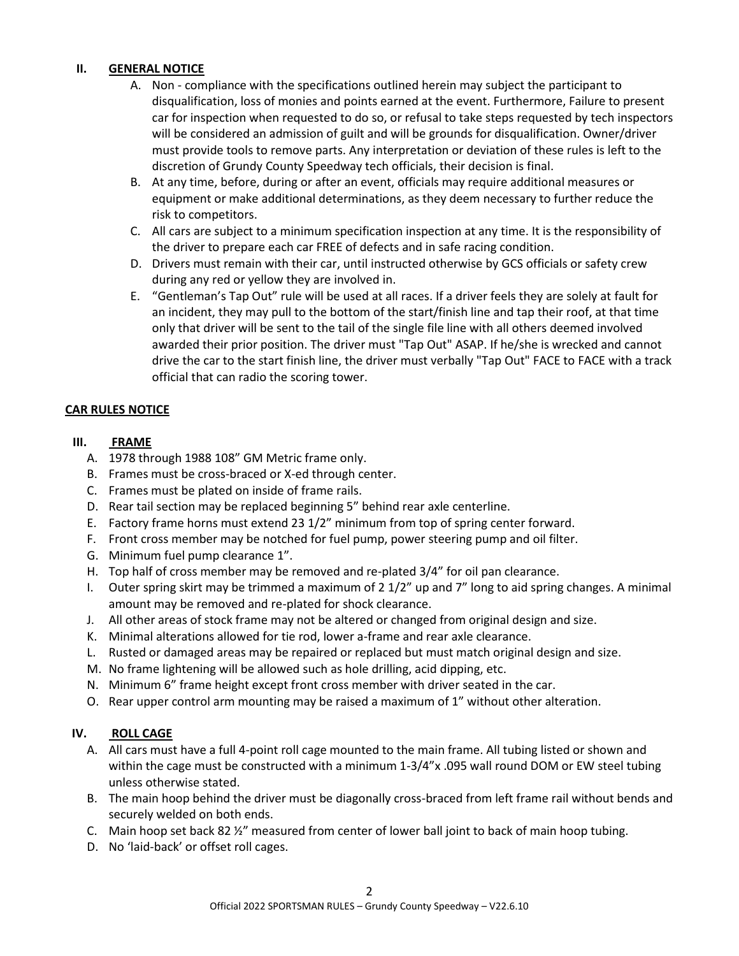## **II. GENERAL NOTICE**

- A. Non compliance with the specifications outlined herein may subject the participant to disqualification, loss of monies and points earned at the event. Furthermore, Failure to present car for inspection when requested to do so, or refusal to take steps requested by tech inspectors will be considered an admission of guilt and will be grounds for disqualification. Owner/driver must provide tools to remove parts. Any interpretation or deviation of these rules is left to the discretion of Grundy County Speedway tech officials, their decision is final.
- B. At any time, before, during or after an event, officials may require additional measures or equipment or make additional determinations, as they deem necessary to further reduce the risk to competitors.
- C. All cars are subject to a minimum specification inspection at any time. It is the responsibility of the driver to prepare each car FREE of defects and in safe racing condition.
- D. Drivers must remain with their car, until instructed otherwise by GCS officials or safety crew during any red or yellow they are involved in.
- E. "Gentleman's Tap Out" rule will be used at all races. If a driver feels they are solely at fault for an incident, they may pull to the bottom of the start/finish line and tap their roof, at that time only that driver will be sent to the tail of the single file line with all others deemed involved awarded their prior position. The driver must "Tap Out" ASAP. If he/she is wrecked and cannot drive the car to the start finish line, the driver must verbally "Tap Out" FACE to FACE with a track official that can radio the scoring tower.

## **CAR RULES NOTICE**

#### **III. FRAME**

- A. 1978 through 1988 108" GM Metric frame only.
- B. Frames must be cross-braced or X-ed through center.
- C. Frames must be plated on inside of frame rails.
- D. Rear tail section may be replaced beginning 5" behind rear axle centerline.
- E. Factory frame horns must extend 23 1/2" minimum from top of spring center forward.
- F. Front cross member may be notched for fuel pump, power steering pump and oil filter.
- G. Minimum fuel pump clearance 1".
- H. Top half of cross member may be removed and re-plated 3/4" for oil pan clearance.
- I. Outer spring skirt may be trimmed a maximum of 2 1/2" up and 7" long to aid spring changes. A minimal amount may be removed and re-plated for shock clearance.
- J. All other areas of stock frame may not be altered or changed from original design and size.
- K. Minimal alterations allowed for tie rod, lower a-frame and rear axle clearance.
- L. Rusted or damaged areas may be repaired or replaced but must match original design and size.
- M. No frame lightening will be allowed such as hole drilling, acid dipping, etc.
- N. Minimum 6" frame height except front cross member with driver seated in the car.
- O. Rear upper control arm mounting may be raised a maximum of 1" without other alteration.

# **IV. ROLL CAGE**

- A. All cars must have a full 4-point roll cage mounted to the main frame. All tubing listed or shown and within the cage must be constructed with a minimum 1-3/4"x .095 wall round DOM or EW steel tubing unless otherwise stated.
- B. The main hoop behind the driver must be diagonally cross-braced from left frame rail without bends and securely welded on both ends.
- C. Main hoop set back 82 ½" measured from center of lower ball joint to back of main hoop tubing.
- D. No 'laid-back' or offset roll cages.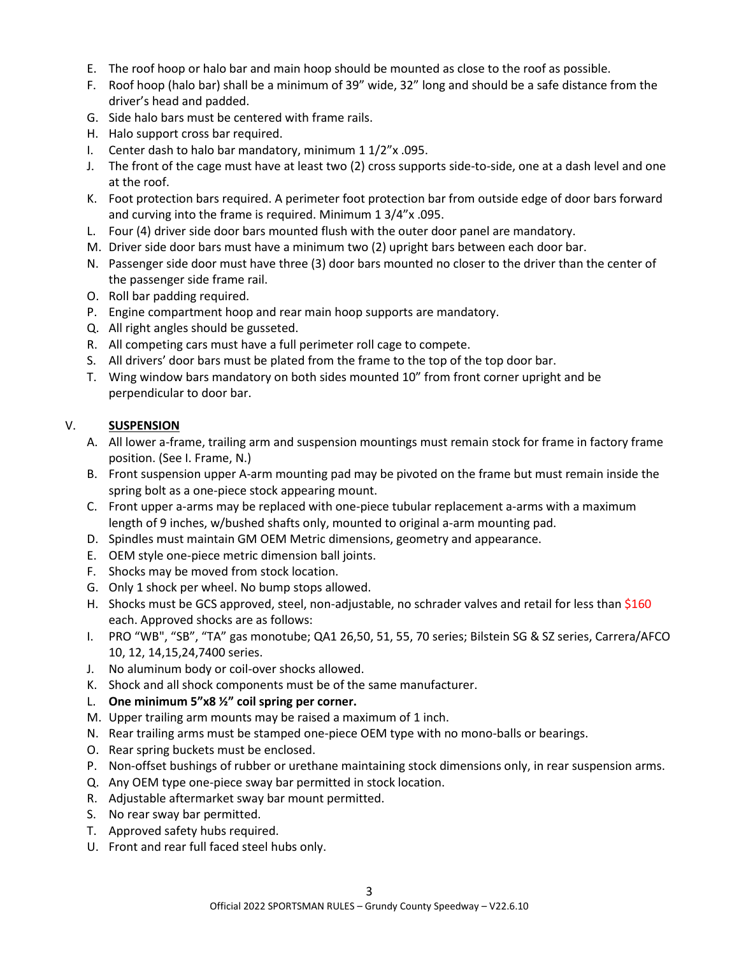- E. The roof hoop or halo bar and main hoop should be mounted as close to the roof as possible.
- F. Roof hoop (halo bar) shall be a minimum of 39" wide, 32" long and should be a safe distance from the driver's head and padded.
- G. Side halo bars must be centered with frame rails.
- H. Halo support cross bar required.
- I. Center dash to halo bar mandatory, minimum 1 1/2"x .095.
- J. The front of the cage must have at least two (2) cross supports side-to-side, one at a dash level and one at the roof.
- K. Foot protection bars required. A perimeter foot protection bar from outside edge of door bars forward and curving into the frame is required. Minimum 1 3/4"x .095.
- L. Four (4) driver side door bars mounted flush with the outer door panel are mandatory.
- M. Driver side door bars must have a minimum two (2) upright bars between each door bar.
- N. Passenger side door must have three (3) door bars mounted no closer to the driver than the center of the passenger side frame rail.
- O. Roll bar padding required.
- P. Engine compartment hoop and rear main hoop supports are mandatory.
- Q. All right angles should be gusseted.
- R. All competing cars must have a full perimeter roll cage to compete.
- S. All drivers' door bars must be plated from the frame to the top of the top door bar.
- T. Wing window bars mandatory on both sides mounted 10" from front corner upright and be perpendicular to door bar.

## V. **SUSPENSION**

- A. All lower a-frame, trailing arm and suspension mountings must remain stock for frame in factory frame position. (See I. Frame, N.)
- B. Front suspension upper A-arm mounting pad may be pivoted on the frame but must remain inside the spring bolt as a one-piece stock appearing mount.
- C. Front upper a-arms may be replaced with one-piece tubular replacement a-arms with a maximum length of 9 inches, w/bushed shafts only, mounted to original a-arm mounting pad.
- D. Spindles must maintain GM OEM Metric dimensions, geometry and appearance.
- E. OEM style one-piece metric dimension ball joints.
- F. Shocks may be moved from stock location.
- G. Only 1 shock per wheel. No bump stops allowed.
- H. Shocks must be GCS approved, steel, non-adjustable, no schrader valves and retail for less than \$160 each. Approved shocks are as follows:
- I. PRO "WB", "SB", "TA" gas monotube; QA1 26,50, 51, 55, 70 series; Bilstein SG & SZ series, Carrera/AFCO 10, 12, 14,15,24,7400 series.
- J. No aluminum body or coil-over shocks allowed.
- K. Shock and all shock components must be of the same manufacturer.
- L. **One minimum 5"x8 ½" coil spring per corner.**
- M. Upper trailing arm mounts may be raised a maximum of 1 inch.
- N. Rear trailing arms must be stamped one-piece OEM type with no mono-balls or bearings.
- O. Rear spring buckets must be enclosed.
- P. Non-offset bushings of rubber or urethane maintaining stock dimensions only, in rear suspension arms.
- Q. Any OEM type one-piece sway bar permitted in stock location.
- R. Adjustable aftermarket sway bar mount permitted.
- S. No rear sway bar permitted.
- T. Approved safety hubs required.
- U. Front and rear full faced steel hubs only.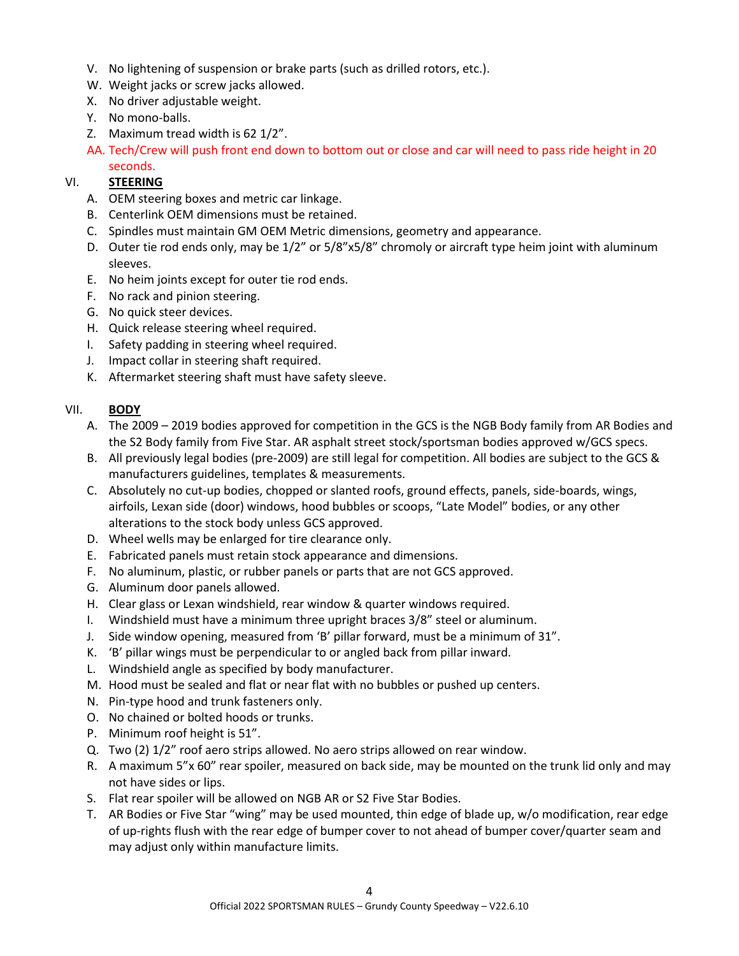- V. No lightening of suspension or brake parts (such as drilled rotors, etc.).
- W. Weight jacks or screw jacks allowed.
- X. No driver adjustable weight.
- Y. No mono-balls.
- Z. Maximum tread width is 62 1/2".
- AA. Tech/Crew will push front end down to bottom out or close and car will need to pass ride height in 20 seconds.

# VI. **STEERING**

- A. OEM steering boxes and metric car linkage.
- B. Centerlink OEM dimensions must be retained.
- C. Spindles must maintain GM OEM Metric dimensions, geometry and appearance.
- D. Outer tie rod ends only, may be 1/2" or 5/8"x5/8" chromoly or aircraft type heim joint with aluminum sleeves.
- E. No heim joints except for outer tie rod ends.
- F. No rack and pinion steering.
- G. No quick steer devices.
- H. Quick release steering wheel required.
- I. Safety padding in steering wheel required.
- J. Impact collar in steering shaft required.
- K. Aftermarket steering shaft must have safety sleeve.

## VII. **BODY**

- A. The 2009 2019 bodies approved for competition in the GCS is the NGB Body family from AR Bodies and the S2 Body family from Five Star. AR asphalt street stock/sportsman bodies approved w/GCS specs.
- B. All previously legal bodies (pre-2009) are still legal for competition. All bodies are subject to the GCS & manufacturers guidelines, templates & measurements.
- C. Absolutely no cut-up bodies, chopped or slanted roofs, ground effects, panels, side-boards, wings, airfoils, Lexan side (door) windows, hood bubbles or scoops, "Late Model" bodies, or any other alterations to the stock body unless GCS approved.
- D. Wheel wells may be enlarged for tire clearance only.
- E. Fabricated panels must retain stock appearance and dimensions.
- F. No aluminum, plastic, or rubber panels or parts that are not GCS approved.
- G. Aluminum door panels allowed.
- H. Clear glass or Lexan windshield, rear window & quarter windows required.
- I. Windshield must have a minimum three upright braces 3/8" steel or aluminum.
- J. Side window opening, measured from 'B' pillar forward, must be a minimum of 31".
- K. 'B' pillar wings must be perpendicular to or angled back from pillar inward.
- L. Windshield angle as specified by body manufacturer.
- M. Hood must be sealed and flat or near flat with no bubbles or pushed up centers.
- N. Pin-type hood and trunk fasteners only.
- O. No chained or bolted hoods or trunks.
- P. Minimum roof height is 51".
- Q. Two (2) 1/2" roof aero strips allowed. No aero strips allowed on rear window.
- R. A maximum 5"x 60" rear spoiler, measured on back side, may be mounted on the trunk lid only and may not have sides or lips.
- S. Flat rear spoiler will be allowed on NGB AR or S2 Five Star Bodies.
- T. AR Bodies or Five Star "wing" may be used mounted, thin edge of blade up, w/o modification, rear edge of up-rights flush with the rear edge of bumper cover to not ahead of bumper cover/quarter seam and may adjust only within manufacture limits.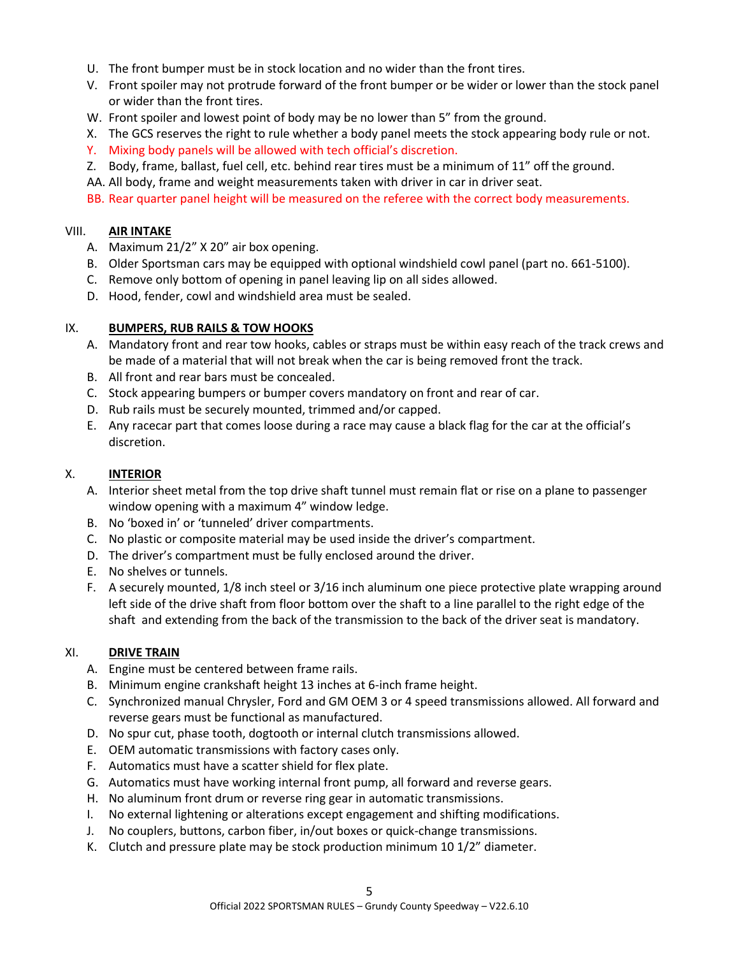- U. The front bumper must be in stock location and no wider than the front tires.
- V. Front spoiler may not protrude forward of the front bumper or be wider or lower than the stock panel or wider than the front tires.
- W. Front spoiler and lowest point of body may be no lower than 5" from the ground.
- X. The GCS reserves the right to rule whether a body panel meets the stock appearing body rule or not.
- Y. Mixing body panels will be allowed with tech official's discretion.
- Z. Body, frame, ballast, fuel cell, etc. behind rear tires must be a minimum of 11" off the ground.
- AA. All body, frame and weight measurements taken with driver in car in driver seat.
- BB. Rear quarter panel height will be measured on the referee with the correct body measurements.

#### VIII. **AIR INTAKE**

- A. Maximum 21/2" X 20" air box opening.
- B. Older Sportsman cars may be equipped with optional windshield cowl panel (part no. 661-5100).
- C. Remove only bottom of opening in panel leaving lip on all sides allowed.
- D. Hood, fender, cowl and windshield area must be sealed.

#### IX. **BUMPERS, RUB RAILS & TOW HOOKS**

- A. Mandatory front and rear tow hooks, cables or straps must be within easy reach of the track crews and be made of a material that will not break when the car is being removed front the track.
- B. All front and rear bars must be concealed.
- C. Stock appearing bumpers or bumper covers mandatory on front and rear of car.
- D. Rub rails must be securely mounted, trimmed and/or capped.
- E. Any racecar part that comes loose during a race may cause a black flag for the car at the official's discretion.

#### X. **INTERIOR**

- A. Interior sheet metal from the top drive shaft tunnel must remain flat or rise on a plane to passenger window opening with a maximum 4" window ledge.
- B. No 'boxed in' or 'tunneled' driver compartments.
- C. No plastic or composite material may be used inside the driver's compartment.
- D. The driver's compartment must be fully enclosed around the driver.
- E. No shelves or tunnels.
- F. A securely mounted, 1/8 inch steel or 3/16 inch aluminum one piece protective plate wrapping around left side of the drive shaft from floor bottom over the shaft to a line parallel to the right edge of the shaft and extending from the back of the transmission to the back of the driver seat is mandatory.

#### XI. **DRIVE TRAIN**

- A. Engine must be centered between frame rails.
- B. Minimum engine crankshaft height 13 inches at 6-inch frame height.
- C. Synchronized manual Chrysler, Ford and GM OEM 3 or 4 speed transmissions allowed. All forward and reverse gears must be functional as manufactured.
- D. No spur cut, phase tooth, dogtooth or internal clutch transmissions allowed.
- E. OEM automatic transmissions with factory cases only.
- F. Automatics must have a scatter shield for flex plate.
- G. Automatics must have working internal front pump, all forward and reverse gears.
- H. No aluminum front drum or reverse ring gear in automatic transmissions.
- I. No external lightening or alterations except engagement and shifting modifications.
- J. No couplers, buttons, carbon fiber, in/out boxes or quick-change transmissions.
- K. Clutch and pressure plate may be stock production minimum 10 1/2" diameter.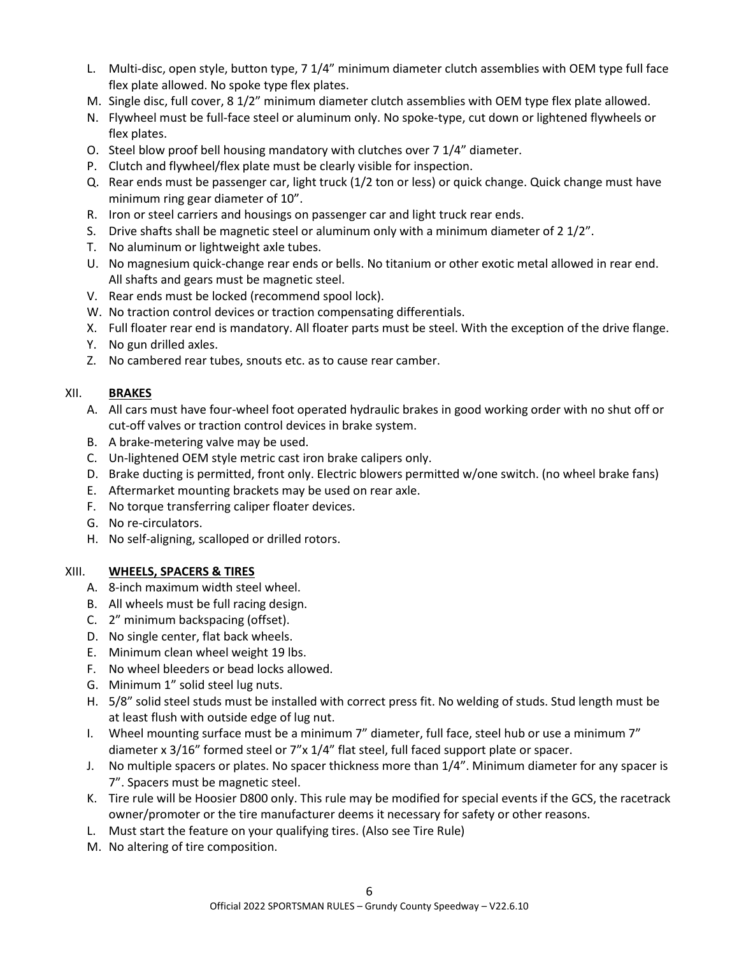- L. Multi-disc, open style, button type, 7 1/4" minimum diameter clutch assemblies with OEM type full face flex plate allowed. No spoke type flex plates.
- M. Single disc, full cover, 8 1/2" minimum diameter clutch assemblies with OEM type flex plate allowed.
- N. Flywheel must be full-face steel or aluminum only. No spoke-type, cut down or lightened flywheels or flex plates.
- O. Steel blow proof bell housing mandatory with clutches over 7 1/4" diameter.
- P. Clutch and flywheel/flex plate must be clearly visible for inspection.
- Q. Rear ends must be passenger car, light truck (1/2 ton or less) or quick change. Quick change must have minimum ring gear diameter of 10".
- R. Iron or steel carriers and housings on passenger car and light truck rear ends.
- S. Drive shafts shall be magnetic steel or aluminum only with a minimum diameter of 2 1/2".
- T. No aluminum or lightweight axle tubes.
- U. No magnesium quick-change rear ends or bells. No titanium or other exotic metal allowed in rear end. All shafts and gears must be magnetic steel.
- V. Rear ends must be locked (recommend spool lock).
- W. No traction control devices or traction compensating differentials.
- X. Full floater rear end is mandatory. All floater parts must be steel. With the exception of the drive flange.
- Y. No gun drilled axles.
- Z. No cambered rear tubes, snouts etc. as to cause rear camber.

#### XII. **BRAKES**

- A. All cars must have four-wheel foot operated hydraulic brakes in good working order with no shut off or cut-off valves or traction control devices in brake system.
- B. A brake-metering valve may be used.
- C. Un-lightened OEM style metric cast iron brake calipers only.
- D. Brake ducting is permitted, front only. Electric blowers permitted w/one switch. (no wheel brake fans)
- E. Aftermarket mounting brackets may be used on rear axle.
- F. No torque transferring caliper floater devices.
- G. No re-circulators.
- H. No self-aligning, scalloped or drilled rotors.

#### XIII. **WHEELS, SPACERS & TIRES**

- A. 8-inch maximum width steel wheel.
- B. All wheels must be full racing design.
- C. 2" minimum backspacing (offset).
- D. No single center, flat back wheels.
- E. Minimum clean wheel weight 19 lbs.
- F. No wheel bleeders or bead locks allowed.
- G. Minimum 1" solid steel lug nuts.
- H. 5/8" solid steel studs must be installed with correct press fit. No welding of studs. Stud length must be at least flush with outside edge of lug nut.
- I. Wheel mounting surface must be a minimum 7" diameter, full face, steel hub or use a minimum 7" diameter x 3/16" formed steel or 7"x 1/4" flat steel, full faced support plate or spacer.
- J. No multiple spacers or plates. No spacer thickness more than 1/4". Minimum diameter for any spacer is 7". Spacers must be magnetic steel.
- K. Tire rule will be Hoosier D800 only. This rule may be modified for special events if the GCS, the racetrack owner/promoter or the tire manufacturer deems it necessary for safety or other reasons.
- L. Must start the feature on your qualifying tires. (Also see Tire Rule)
- M. No altering of tire composition.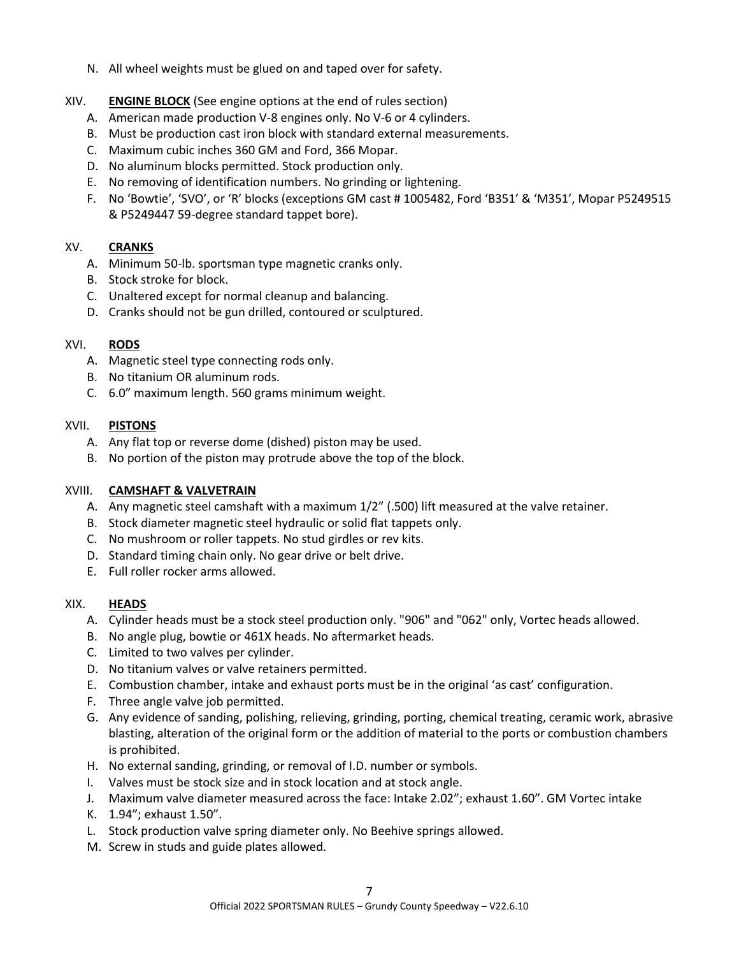- N. All wheel weights must be glued on and taped over for safety.
- XIV. **ENGINE BLOCK** (See engine options at the end of rules section)
	- A. American made production V-8 engines only. No V-6 or 4 cylinders.
	- B. Must be production cast iron block with standard external measurements.
	- C. Maximum cubic inches 360 GM and Ford, 366 Mopar.
	- D. No aluminum blocks permitted. Stock production only.
	- E. No removing of identification numbers. No grinding or lightening.
	- F. No 'Bowtie', 'SVO', or 'R' blocks (exceptions GM cast # 1005482, Ford 'B351' & 'M351', Mopar P5249515 & P5249447 59-degree standard tappet bore).

## XV. **CRANKS**

- A. Minimum 50-lb. sportsman type magnetic cranks only.
- B. Stock stroke for block.
- C. Unaltered except for normal cleanup and balancing.
- D. Cranks should not be gun drilled, contoured or sculptured.

#### XVI. **RODS**

- A. Magnetic steel type connecting rods only.
- B. No titanium OR aluminum rods.
- C. 6.0" maximum length. 560 grams minimum weight.

#### XVII. **PISTONS**

- A. Any flat top or reverse dome (dished) piston may be used.
- B. No portion of the piston may protrude above the top of the block.

### XVIII. **CAMSHAFT & VALVETRAIN**

- A. Any magnetic steel camshaft with a maximum 1/2" (.500) lift measured at the valve retainer.
- B. Stock diameter magnetic steel hydraulic or solid flat tappets only.
- C. No mushroom or roller tappets. No stud girdles or rev kits.
- D. Standard timing chain only. No gear drive or belt drive.
- E. Full roller rocker arms allowed.

#### XIX. **HEADS**

- A. Cylinder heads must be a stock steel production only. "906" and "062" only, Vortec heads allowed.
- B. No angle plug, bowtie or 461X heads. No aftermarket heads.
- C. Limited to two valves per cylinder.
- D. No titanium valves or valve retainers permitted.
- E. Combustion chamber, intake and exhaust ports must be in the original 'as cast' configuration.
- F. Three angle valve job permitted.
- G. Any evidence of sanding, polishing, relieving, grinding, porting, chemical treating, ceramic work, abrasive blasting, alteration of the original form or the addition of material to the ports or combustion chambers is prohibited.
- H. No external sanding, grinding, or removal of I.D. number or symbols.
- I. Valves must be stock size and in stock location and at stock angle.
- J. Maximum valve diameter measured across the face: Intake 2.02"; exhaust 1.60". GM Vortec intake
- K. 1.94"; exhaust 1.50".
- L. Stock production valve spring diameter only. No Beehive springs allowed.
- M. Screw in studs and guide plates allowed.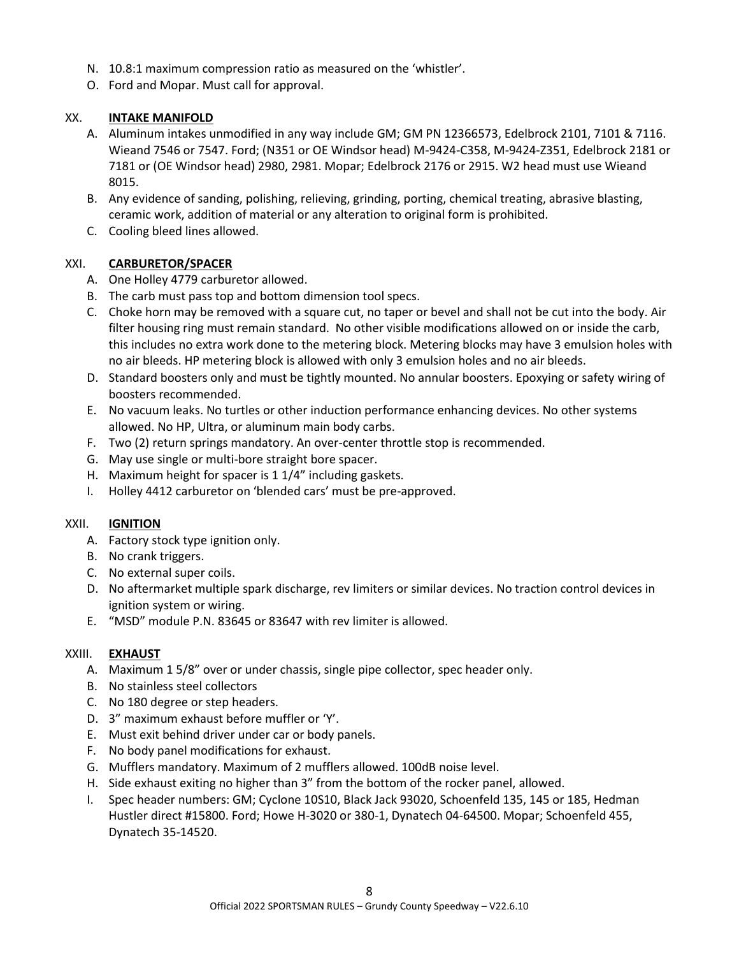- N. 10.8:1 maximum compression ratio as measured on the 'whistler'.
- O. Ford and Mopar. Must call for approval.

### XX. **INTAKE MANIFOLD**

- A. Aluminum intakes unmodified in any way include GM; GM PN 12366573, Edelbrock 2101, 7101 & 7116. Wieand 7546 or 7547. Ford; (N351 or OE Windsor head) M-9424-C358, M-9424-Z351, Edelbrock 2181 or 7181 or (OE Windsor head) 2980, 2981. Mopar; Edelbrock 2176 or 2915. W2 head must use Wieand 8015.
- B. Any evidence of sanding, polishing, relieving, grinding, porting, chemical treating, abrasive blasting, ceramic work, addition of material or any alteration to original form is prohibited.
- C. Cooling bleed lines allowed.

#### XXI. **CARBURETOR/SPACER**

- A. One Holley 4779 carburetor allowed.
- B. The carb must pass top and bottom dimension tool specs.
- C. Choke horn may be removed with a square cut, no taper or bevel and shall not be cut into the body. Air filter housing ring must remain standard. No other visible modifications allowed on or inside the carb, this includes no extra work done to the metering block. Metering blocks may have 3 emulsion holes with no air bleeds. HP metering block is allowed with only 3 emulsion holes and no air bleeds.
- D. Standard boosters only and must be tightly mounted. No annular boosters. Epoxying or safety wiring of boosters recommended.
- E. No vacuum leaks. No turtles or other induction performance enhancing devices. No other systems allowed. No HP, Ultra, or aluminum main body carbs.
- F. Two (2) return springs mandatory. An over-center throttle stop is recommended.
- G. May use single or multi-bore straight bore spacer.
- H. Maximum height for spacer is 1 1/4" including gaskets.
- I. Holley 4412 carburetor on 'blended cars' must be pre-approved.

#### XXII. **IGNITION**

- A. Factory stock type ignition only.
- B. No crank triggers.
- C. No external super coils.
- D. No aftermarket multiple spark discharge, rev limiters or similar devices. No traction control devices in ignition system or wiring.
- E. "MSD" module P.N. 83645 or 83647 with rev limiter is allowed.

#### XXIII. **EXHAUST**

- A. Maximum 1 5/8" over or under chassis, single pipe collector, spec header only.
- B. No stainless steel collectors
- C. No 180 degree or step headers.
- D. 3" maximum exhaust before muffler or 'Y'.
- E. Must exit behind driver under car or body panels.
- F. No body panel modifications for exhaust.
- G. Mufflers mandatory. Maximum of 2 mufflers allowed. 100dB noise level.
- H. Side exhaust exiting no higher than 3" from the bottom of the rocker panel, allowed.
- I. Spec header numbers: GM; Cyclone 10S10, Black Jack 93020, Schoenfeld 135, 145 or 185, Hedman Hustler direct #15800. Ford; Howe H-3020 or 380-1, Dynatech 04-64500. Mopar; Schoenfeld 455, Dynatech 35-14520.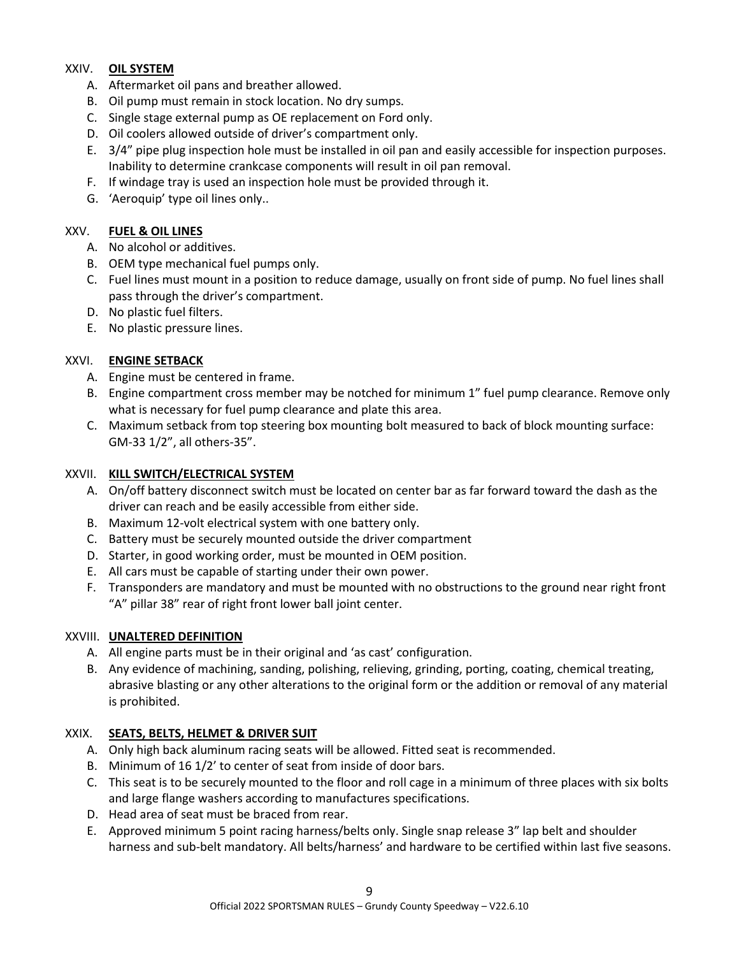# XXIV. **OIL SYSTEM**

- A. Aftermarket oil pans and breather allowed.
- B. Oil pump must remain in stock location. No dry sumps.
- C. Single stage external pump as OE replacement on Ford only.
- D. Oil coolers allowed outside of driver's compartment only.
- E. 3/4" pipe plug inspection hole must be installed in oil pan and easily accessible for inspection purposes. Inability to determine crankcase components will result in oil pan removal.
- F. If windage tray is used an inspection hole must be provided through it.
- G. 'Aeroquip' type oil lines only..

## XXV. **FUEL & OIL LINES**

- A. No alcohol or additives.
- B. OEM type mechanical fuel pumps only.
- C. Fuel lines must mount in a position to reduce damage, usually on front side of pump. No fuel lines shall pass through the driver's compartment.
- D. No plastic fuel filters.
- E. No plastic pressure lines.

## XXVI. **ENGINE SETBACK**

- A. Engine must be centered in frame.
- B. Engine compartment cross member may be notched for minimum 1" fuel pump clearance. Remove only what is necessary for fuel pump clearance and plate this area.
- C. Maximum setback from top steering box mounting bolt measured to back of block mounting surface: GM-33 1/2", all others-35".

#### XXVII. **KILL SWITCH/ELECTRICAL SYSTEM**

- A. On/off battery disconnect switch must be located on center bar as far forward toward the dash as the driver can reach and be easily accessible from either side.
- B. Maximum 12-volt electrical system with one battery only.
- C. Battery must be securely mounted outside the driver compartment
- D. Starter, in good working order, must be mounted in OEM position.
- E. All cars must be capable of starting under their own power.
- F. Transponders are mandatory and must be mounted with no obstructions to the ground near right front "A" pillar 38" rear of right front lower ball joint center.

#### XXVIII. **UNALTERED DEFINITION**

- A. All engine parts must be in their original and 'as cast' configuration.
- B. Any evidence of machining, sanding, polishing, relieving, grinding, porting, coating, chemical treating, abrasive blasting or any other alterations to the original form or the addition or removal of any material is prohibited.

#### XXIX. **SEATS, BELTS, HELMET & DRIVER SUIT**

- A. Only high back aluminum racing seats will be allowed. Fitted seat is recommended.
- B. Minimum of 16 1/2' to center of seat from inside of door bars.
- C. This seat is to be securely mounted to the floor and roll cage in a minimum of three places with six bolts and large flange washers according to manufactures specifications.
- D. Head area of seat must be braced from rear.
- E. Approved minimum 5 point racing harness/belts only. Single snap release 3" lap belt and shoulder harness and sub-belt mandatory. All belts/harness' and hardware to be certified within last five seasons.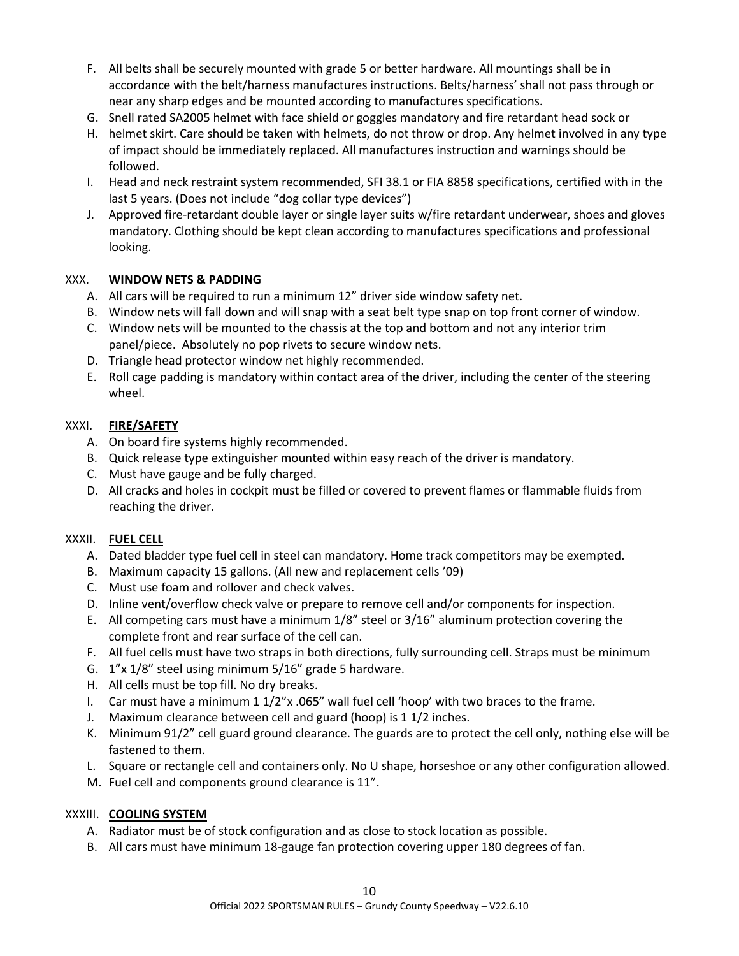- F. All belts shall be securely mounted with grade 5 or better hardware. All mountings shall be in accordance with the belt/harness manufactures instructions. Belts/harness' shall not pass through or near any sharp edges and be mounted according to manufactures specifications.
- G. Snell rated SA2005 helmet with face shield or goggles mandatory and fire retardant head sock or
- H. helmet skirt. Care should be taken with helmets, do not throw or drop. Any helmet involved in any type of impact should be immediately replaced. All manufactures instruction and warnings should be followed.
- I. Head and neck restraint system recommended, SFI 38.1 or FIA 8858 specifications, certified with in the last 5 years. (Does not include "dog collar type devices")
- J. Approved fire-retardant double layer or single layer suits w/fire retardant underwear, shoes and gloves mandatory. Clothing should be kept clean according to manufactures specifications and professional looking.

## XXX. **WINDOW NETS & PADDING**

- A. All cars will be required to run a minimum 12" driver side window safety net.
- B. Window nets will fall down and will snap with a seat belt type snap on top front corner of window.
- C. Window nets will be mounted to the chassis at the top and bottom and not any interior trim panel/piece. Absolutely no pop rivets to secure window nets.
- D. Triangle head protector window net highly recommended.
- E. Roll cage padding is mandatory within contact area of the driver, including the center of the steering wheel.

# XXXI. **FIRE/SAFETY**

- A. On board fire systems highly recommended.
- B. Quick release type extinguisher mounted within easy reach of the driver is mandatory.
- C. Must have gauge and be fully charged.
- D. All cracks and holes in cockpit must be filled or covered to prevent flames or flammable fluids from reaching the driver.

#### XXXII. **FUEL CELL**

- A. Dated bladder type fuel cell in steel can mandatory. Home track competitors may be exempted.
- B. Maximum capacity 15 gallons. (All new and replacement cells '09)
- C. Must use foam and rollover and check valves.
- D. Inline vent/overflow check valve or prepare to remove cell and/or components for inspection.
- E. All competing cars must have a minimum 1/8" steel or 3/16" aluminum protection covering the complete front and rear surface of the cell can.
- F. All fuel cells must have two straps in both directions, fully surrounding cell. Straps must be minimum
- G. 1"x 1/8" steel using minimum 5/16" grade 5 hardware.
- H. All cells must be top fill. No dry breaks.
- I. Car must have a minimum 1 1/2"x .065" wall fuel cell 'hoop' with two braces to the frame.
- J. Maximum clearance between cell and guard (hoop) is 1 1/2 inches.
- K. Minimum 91/2" cell guard ground clearance. The guards are to protect the cell only, nothing else will be fastened to them.
- L. Square or rectangle cell and containers only. No U shape, horseshoe or any other configuration allowed.
- M. Fuel cell and components ground clearance is 11".

#### XXXIII. **COOLING SYSTEM**

- A. Radiator must be of stock configuration and as close to stock location as possible.
- B. All cars must have minimum 18-gauge fan protection covering upper 180 degrees of fan.